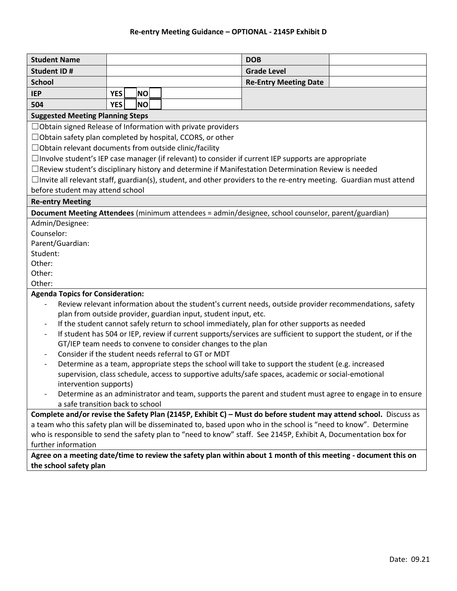| <b>Student Name</b>                                                                                                                                                        |                                                                                                           |  | <b>DOB</b>                   |  |  |
|----------------------------------------------------------------------------------------------------------------------------------------------------------------------------|-----------------------------------------------------------------------------------------------------------|--|------------------------------|--|--|
| <b>Student ID#</b>                                                                                                                                                         |                                                                                                           |  | <b>Grade Level</b>           |  |  |
| <b>School</b>                                                                                                                                                              |                                                                                                           |  | <b>Re-Entry Meeting Date</b> |  |  |
| <b>IEP</b>                                                                                                                                                                 | <b>NO</b><br><b>YES</b>                                                                                   |  |                              |  |  |
| 504                                                                                                                                                                        | <b>NO</b><br><b>YES</b>                                                                                   |  |                              |  |  |
| <b>Suggested Meeting Planning Steps</b>                                                                                                                                    |                                                                                                           |  |                              |  |  |
| $\Box$ Obtain signed Release of Information with private providers                                                                                                         |                                                                                                           |  |                              |  |  |
| $\Box$ Obtain safety plan completed by hospital, CCORS, or other                                                                                                           |                                                                                                           |  |                              |  |  |
| □Obtain relevant documents from outside clinic/facility                                                                                                                    |                                                                                                           |  |                              |  |  |
| $\Box$ Involve student's IEP case manager (if relevant) to consider if current IEP supports are appropriate                                                                |                                                                                                           |  |                              |  |  |
| $\Box$ Review student's disciplinary history and determine if Manifestation Determination Review is needed                                                                 |                                                                                                           |  |                              |  |  |
| $\Box$ Invite all relevant staff, guardian(s), student, and other providers to the re-entry meeting. Guardian must attend                                                  |                                                                                                           |  |                              |  |  |
| before student may attend school                                                                                                                                           |                                                                                                           |  |                              |  |  |
| <b>Re-entry Meeting</b>                                                                                                                                                    |                                                                                                           |  |                              |  |  |
| Document Meeting Attendees (minimum attendees = admin/designee, school counselor, parent/guardian)                                                                         |                                                                                                           |  |                              |  |  |
| Admin/Designee:                                                                                                                                                            |                                                                                                           |  |                              |  |  |
| Counselor:                                                                                                                                                                 |                                                                                                           |  |                              |  |  |
| Parent/Guardian:                                                                                                                                                           |                                                                                                           |  |                              |  |  |
| Student:                                                                                                                                                                   |                                                                                                           |  |                              |  |  |
| Other:                                                                                                                                                                     |                                                                                                           |  |                              |  |  |
| Other:                                                                                                                                                                     |                                                                                                           |  |                              |  |  |
| Other:                                                                                                                                                                     |                                                                                                           |  |                              |  |  |
| <b>Agenda Topics for Consideration:</b>                                                                                                                                    |                                                                                                           |  |                              |  |  |
| Review relevant information about the student's current needs, outside provider recommendations, safety<br>plan from outside provider, guardian input, student input, etc. |                                                                                                           |  |                              |  |  |
| If the student cannot safely return to school immediately, plan for other supports as needed<br>$\qquad \qquad \blacksquare$                                               |                                                                                                           |  |                              |  |  |
| If student has 504 or IEP, review if current supports/services are sufficient to support the student, or if the<br>$\overline{\phantom{a}}$                                |                                                                                                           |  |                              |  |  |
| GT/IEP team needs to convene to consider changes to the plan                                                                                                               |                                                                                                           |  |                              |  |  |
| Consider if the student needs referral to GT or MDT<br>$\overline{\phantom{a}}$                                                                                            |                                                                                                           |  |                              |  |  |
|                                                                                                                                                                            | Determine as a team, appropriate steps the school will take to support the student (e.g. increased        |  |                              |  |  |
|                                                                                                                                                                            | supervision, class schedule, access to supportive adults/safe spaces, academic or social-emotional        |  |                              |  |  |
| intervention supports)                                                                                                                                                     |                                                                                                           |  |                              |  |  |
|                                                                                                                                                                            | Determine as an administrator and team, supports the parent and student must agree to engage in to ensure |  |                              |  |  |
| a safe transition back to school                                                                                                                                           |                                                                                                           |  |                              |  |  |
| Complete and/or revise the Safety Plan (2145P, Exhibit C) - Must do before student may attend school. Discuss as                                                           |                                                                                                           |  |                              |  |  |
| a team who this safety plan will be disseminated to, based upon who in the school is "need to know". Determine                                                             |                                                                                                           |  |                              |  |  |
| who is responsible to send the safety plan to "need to know" staff. See 2145P, Exhibit A, Documentation box for                                                            |                                                                                                           |  |                              |  |  |
| further information                                                                                                                                                        |                                                                                                           |  |                              |  |  |

## **Agree on a meeting date/time to review the safety plan within about 1 month of this meeting - document this on the school safety plan**